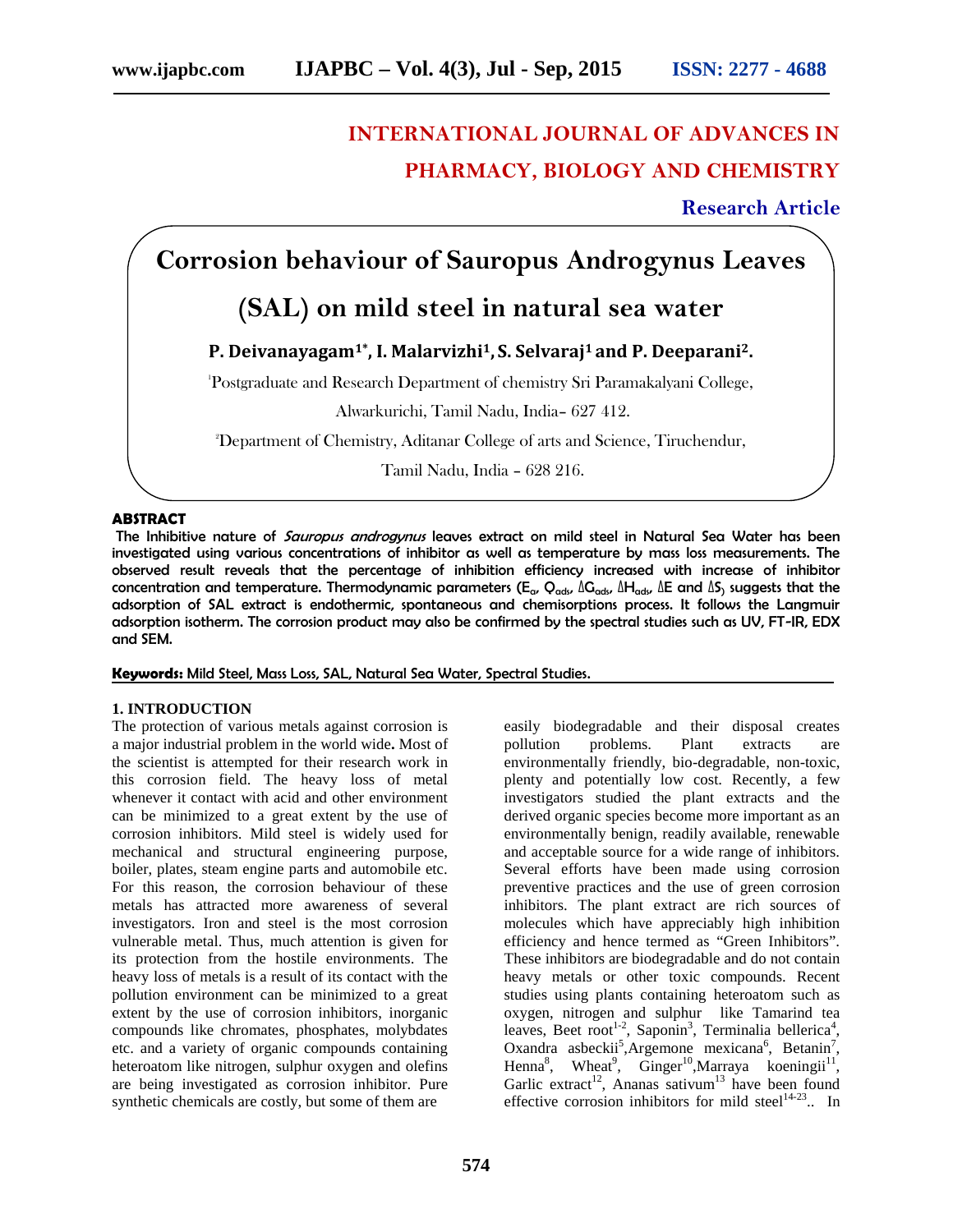# **INTERNATIONAL JOURNAL OF ADVANCES IN PHARMACY, BIOLOGY AND CHEMISTRY**

**Research Article**

# **Corrosion behaviour of Sauropus Androgynus Leaves**

## **(SAL) on mild steel in natural sea water**

## **P. Deivanayagam1\* , I. Malarvizhi1, S. Selvaraj<sup>1</sup> and P. Deeparani2.**

<sup>1</sup>Postgraduate and Research Department of chemistry Sri Paramakalyani College,

Alwarkurichi, Tamil Nadu, India– 627 412.

<sup>2</sup>Department of Chemistry, Aditanar College of arts and Science, Tiruchendur,

Tamil Nadu, India – 628 216.

#### **ABSTRACT**

The Inhibitive nature of *Sauropus androgynus* leaves extract on mild steel in Natural Sea Water has been investigated using various concentrations of inhibitor as well as temperature by mass loss measurements. The observed result reveals that the percentage of inhibition efficiency increased with increase of inhibitor concentration and temperature. Thermodynamic parameters ( $E_a$ ,  $Q_{ads}$ ,  $\Delta G_{ads}$ ,  $\Delta H_{ads}$ ,  $\Delta E$  and  $\Delta S$ <sub>)</sub> suggests that the adsorption of SAL extract is endothermic, spontaneous and chemisorptions process. It follows the Langmuir adsorption isotherm. The corrosion product may also be confirmed by the spectral studies such as UV, FT-IR, EDX and SEM.

#### **Keywords:** Mild Steel, Mass Loss, SAL, Natural Sea Water, Spectral Studies.

#### **1. INTRODUCTION**

The protection of various metals against corrosion is a major industrial problem in the world wide**.** Most of the scientist is attempted for their research work in this corrosion field. The heavy loss of metal whenever it contact with acid and other environment can be minimized to a great extent by the use of corrosion inhibitors. Mild steel is widely used for mechanical and structural engineering purpose, boiler, plates, steam engine parts and automobile etc. For this reason, the corrosion behaviour of these metals has attracted more awareness of several investigators. Iron and steel is the most corrosion vulnerable metal. Thus, much attention is given for its protection from the hostile environments. The heavy loss of metals is a result of its contact with the pollution environment can be minimized to a great extent by the use of corrosion inhibitors, inorganic compounds like chromates, phosphates, molybdates etc. and a variety of organic compounds containing heteroatom like nitrogen, sulphur oxygen and olefins are being investigated as corrosion inhibitor. Pure synthetic chemicals are costly, but some of them are

easily biodegradable and their disposal creates pollution problems. Plant extracts are environmentally friendly, bio-degradable, non-toxic, plenty and potentially low cost. Recently, a few investigators studied the plant extracts and the derived organic species become more important as an environmentally benign, readily available, renewable and acceptable source for a wide range of inhibitors. Several efforts have been made using corrosion preventive practices and the use of green corrosion inhibitors. The plant extract are rich sources of molecules which have appreciably high inhibition efficiency and hence termed as "Green Inhibitors". These inhibitors are biodegradable and do not contain heavy metals or other toxic compounds. Recent studies using plants containing heteroatom such as oxygen, nitrogen and sulphur like Tamarind tea leaves, Beet root<sup>1-2</sup>, Saponin<sup>3</sup>, Terminalia bellerica<sup>4</sup>, Oxandra asbeckii<sup>5</sup>, Argemone mexicana<sup>6</sup>, Betanin<sup>7</sup>, Henna<sup>8</sup>, Wheat<sup>9</sup>, Ginger<sup>10</sup>,Marraya koeningii<sup>11</sup>, Garlic extract<sup>12</sup>, Ananas sativum<sup>13</sup> have been found effective corrosion inhibitors for mild steel $14-23$ .. In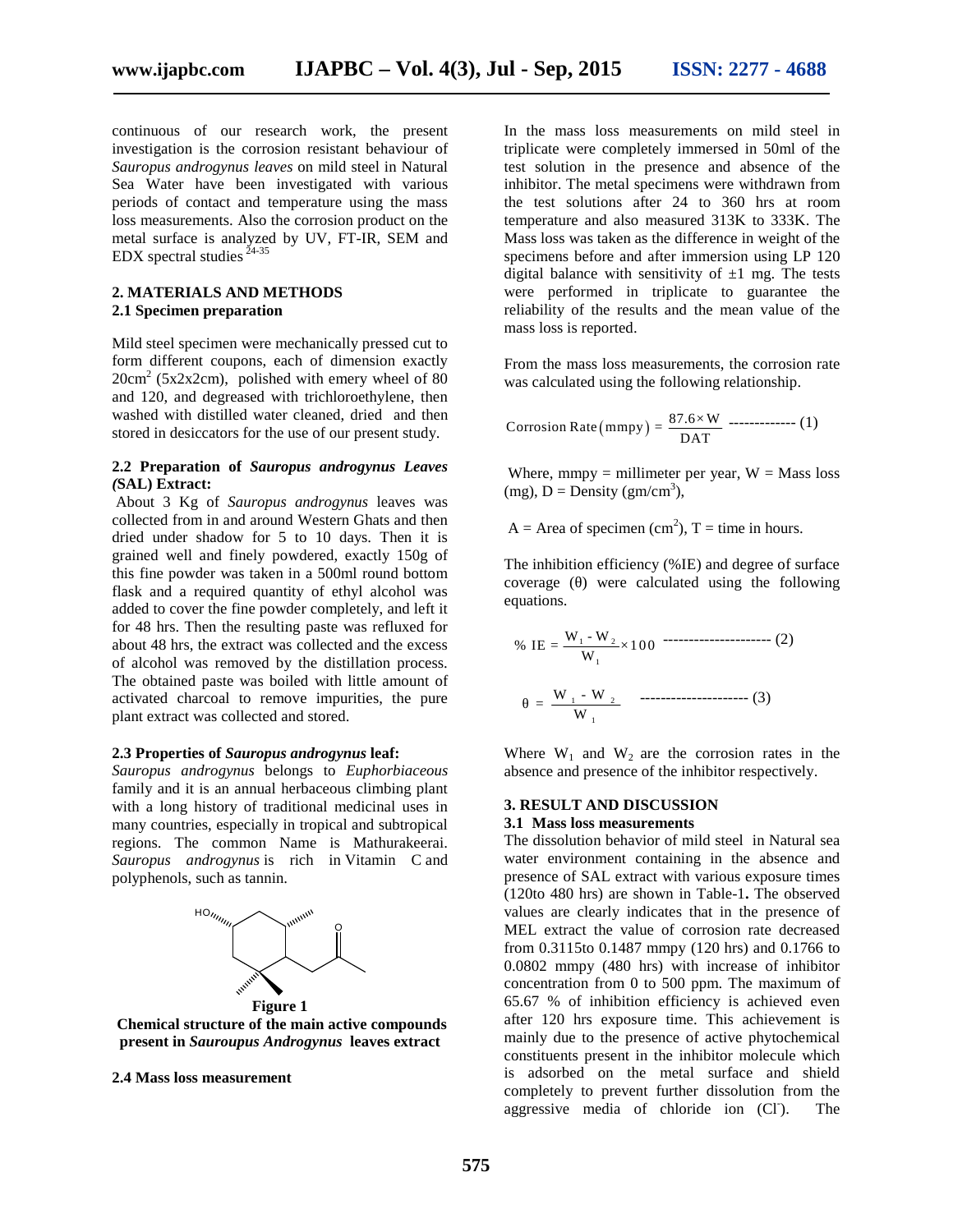continuous of our research work, the present investigation is the corrosion resistant behaviour of *Sauropus androgynus leaves* on mild steel in Natural Sea Water have been investigated with various periods of contact and temperature using the mass loss measurements. Also the corrosion product on the metal surface is analyzed by UV, FT-IR, SEM and  $EDX$  spectral studies  $24-35$ 

#### **2. MATERIALS AND METHODS 2.1 Specimen preparation**

Mild steel specimen were mechanically pressed cut to form different coupons, each of dimension exactly  $20 \text{cm}^2$  (5x2x2cm), polished with emery wheel of 80 and 120, and degreased with trichloroethylene, then washed with distilled water cleaned, dried and then stored in desiccators for the use of our present study.

#### **2.2 Preparation of** *Sauropus androgynus Leaves (***SAL) Extract:**

About 3 Kg of *Sauropus androgynus* leaves was collected from in and around Western Ghats and then dried under shadow for 5 to 10 days. Then it is grained well and finely powdered, exactly 150g of this fine powder was taken in a 500ml round bottom flask and a required quantity of ethyl alcohol was added to cover the fine powder completely, and left it for 48 hrs. Then the resulting paste was refluxed for about 48 hrs, the extract was collected and the excess of alcohol was removed by the distillation process. The obtained paste was boiled with little amount of activated charcoal to remove impurities, the pure plant extract was collected and stored.

#### **2.3 Properties of** *Sauropus androgynus* **leaf:**

*Sauropus androgynus* belongs to *Euphorbiaceous* family and it is an annual herbaceous climbing plant with a long history of traditional medicinal uses in many countries, especially in tropical and subtropical regions. The common Name is Mathurakeerai. *Sauropus androgynus* is rich in Vitamin C and polyphenols, such as tannin.



**Chemical structure of the main active compounds present in** *Sauroupus Androgynus* **leaves extract**

**2.4 Mass loss measurement**

In the mass loss measurements on mild steel in triplicate were completely immersed in 50ml of the test solution in the presence and absence of the inhibitor. The metal specimens were withdrawn from the test solutions after 24 to 360 hrs at room temperature and also measured 313K to 333K. The Mass loss was taken as the difference in weight of the specimens before and after immersion using LP 120 digital balance with sensitivity of  $\pm 1$  mg. The tests were performed in triplicate to guarantee the reliability of the results and the mean value of the mass loss is reported. **11 - Sep, 2015 ISSN: 2277 - 4688**<br> **In the mass loss measurements on mild steel in** riplicate were completely immersed in 50ml of the test solution in the presene and absence of the limitivitor. The metal specinems wer Initiation: The metal specimens were withdrawn from<br>the test solutions after 24 to 360 hrs at room<br>meperature and also measured 313K to 333K. The<br>lass loss was taken as the difference in weight of the<br>desceimens before an Isso Issos was taken as the difference in weight of the<br>
icimens before and after immersion using LP 120<br>
ital balance with sensitivity of  $\pm 1$  mg. The tests<br>
trace performed in triplicate to guarantee the<br>
represented.

From the mass loss measurements, the corrosion rate was calculated using the following relationship.

Corrosion Rate (mmpy) = 
$$
\frac{87.6 \times W}{DATA}
$$
 \n---(1)

Where, mmpy = millimeter per year,  $W =$  Mass loss (mg),  $D = Density (gm/cm<sup>3</sup>)$ ,

A = Area of specimen (cm<sup>2</sup>), T = time in hours.

The inhibition efficiency (%IE) and degree of surface coverage ( ) were calculated using the following

was calculated using the following relationship.  
\nCorrosion Rate (mmpy) = 
$$
\frac{87.6 \times W}{DAT}
$$
 \n $(1)$   
\nWhere, mmpy = millimeter per year, W = Mass loss  
\n(mg), D = Density (gm/cm<sup>3</sup>),  
\nA = Area of specimen (cm<sup>2</sup>), T = time in hours.  
\nThe inhibition efficiency (%) (E) and degree of surface  
\ncoverage ( ) were calculated using the following  
\nequations.  
\n $\% \text{ IE} = \frac{W_1 - W_2}{W_1} \times 100$  \n $= \frac{W_1 - W_2}{W_1}$  \n $(3)$   
\nWhere W<sub>1</sub> and W<sub>2</sub> are the corrosion rates in the  
\nabsence and presence of the inhibitor respectively.

Where  $W_1$  and  $W_2$  are the corrosion rates in the absence and presence of the inhibitor respectively.

#### **3. RESULT AND DISCUSSION**

#### **3.1 Mass loss measurements**

The dissolution behavior of mild steel in Natural sea water environment containing in the absence and presence of SAL extract with various exposure times (120to 480 hrs) are shown in Table-1**.** The observed values are clearly indicates that in the presence of MEL extract the value of corrosion rate decreased from 0.3115to 0.1487 mmpy (120 hrs) and 0.1766 to 0.0802 mmpy (480 hrs) with increase of inhibitor concentration from 0 to 500 ppm. The maximum of 65.67 % of inhibition efficiency is achieved even after 120 hrs exposure time. This achievement is mainly due to the presence of active phytochemical constituents present in the inhibitor molecule which is adsorbed on the metal surface and shield completely to prevent further dissolution from the aggressive media of chloride ion  $(Cl)$ . The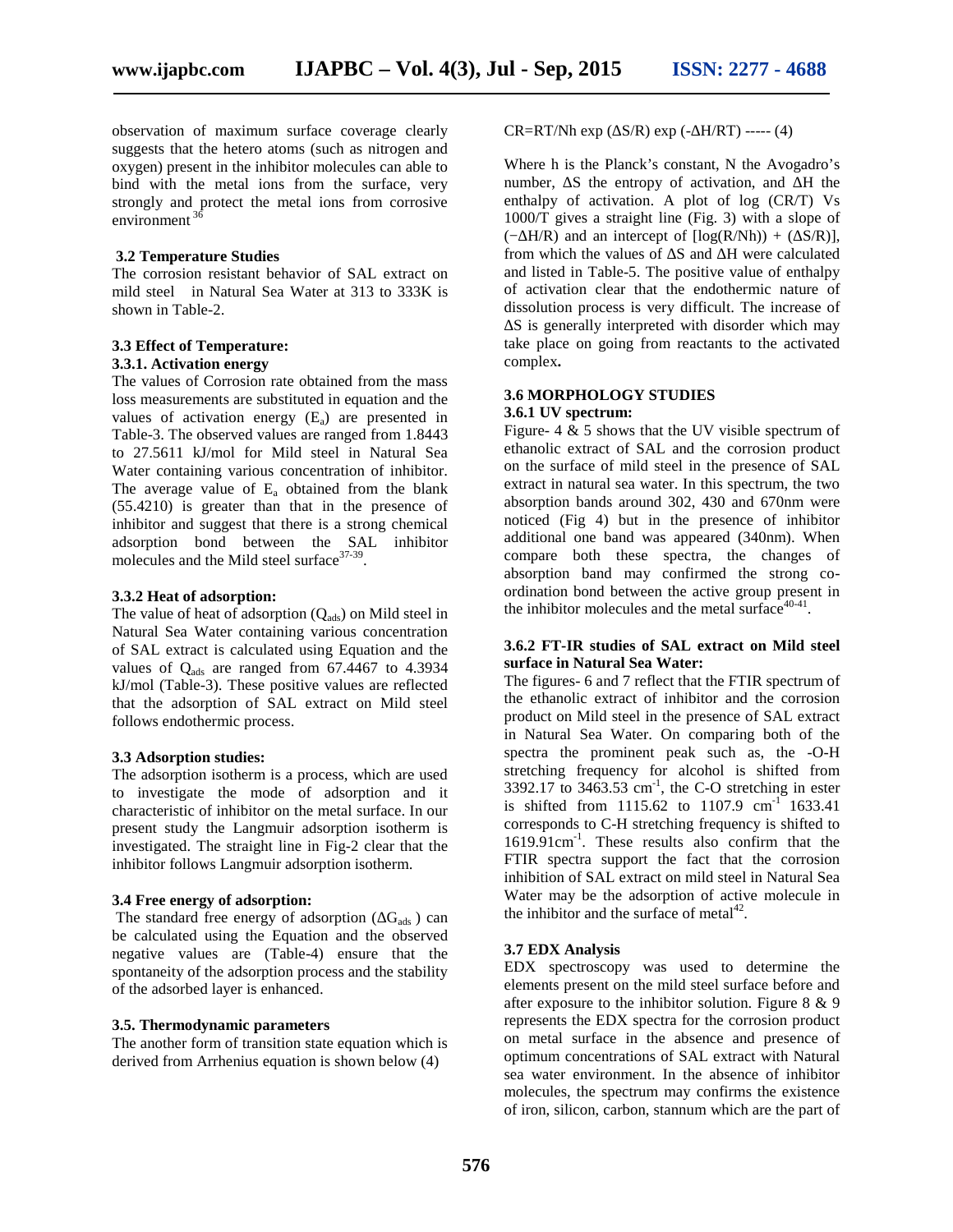observation of maximum surface coverage clearly suggests that the hetero atoms (such as nitrogen and oxygen) present in the inhibitor molecules can able to bind with the metal ions from the surface, very strongly and protect the metal ions from corrosive environment<sup>36</sup>

#### **3.2 Temperature Studies**

The corrosion resistant behavior of SAL extract on mild steel in Natural Sea Water at 313 to 333K is shown in Table-2.

## **3.3 Effect of Temperature:**

## **3.3.1. Activation energy**

The values of Corrosion rate obtained from the mass loss measurements are substituted in equation and the values of activation energy  $(E_a)$  are presented in Table-3. The observed values are ranged from 1.8443 to 27.5611 kJ/mol for Mild steel in Natural Sea Water containing various concentration of inhibitor. The average value of  $E_a$  obtained from the blank (55.4210) is greater than that in the presence of inhibitor and suggest that there is a strong chemical adsorption bond between the SAL inhibitor molecules and the Mild steel surface  $37-39$ .

#### **3.3.2 Heat of adsorption:**

The value of heat of adsorption  $(Q_{ads})$  on Mild steel in Natural Sea Water containing various concentration of SAL extract is calculated using Equation and the values of  $Q_{ads}$  are ranged from 67.4467 to 4.3934 kJ/mol (Table-3). These positive values are reflected that the adsorption of SAL extract on Mild steel follows endothermic process.

#### **3.3 Adsorption studies:**

The adsorption isotherm is a process, which are used to investigate the mode of adsorption and it characteristic of inhibitor on the metal surface. In our present study the Langmuir adsorption isotherm is investigated. The straight line in Fig-2 clear that the inhibitor follows Langmuir adsorption isotherm.

#### **3.4 Free energy of adsorption:**

The standard free energy of adsorption  $(G_{ads})$  can be calculated using the Equation and the observed negative values are (Table-4) ensure that the spontaneity of the adsorption process and the stability of the adsorbed layer is enhanced.

#### **3.5. Thermodynamic parameters**

The another form of transition state equation which is derived from Arrhenius equation is shown below (4)

 $CR = RT/Nh$  exp ( $S/R$ ) exp ( $-H/RT$ ) ----- (4)

Where h is the Planck's constant, N the Avogadro's number, S the entropy of activation, and H the enthalpy of activation. A plot of log (CR/T) Vs 1000/T gives a straight line (Fig. 3) with a slope of  $(- H/R)$  and an intercept of  $[log(R/Nh)) + (S/R)],$ from which the values of S and H were calculated and listed in Table-5. The positive value of enthalpy of activation clear that the endothermic nature of dissolution process is very difficult. The increase of

S is generally interpreted with disorder which may take place on going from reactants to the activated complex**.**

#### **3.6 MORPHOLOGY STUDIES**

#### **3.6.1 UV spectrum:**

Figure-  $4 \& 5$  shows that the UV visible spectrum of ethanolic extract of SAL and the corrosion product on the surface of mild steel in the presence of SAL extract in natural sea water. In this spectrum, the two absorption bands around 302, 430 and 670nm were noticed (Fig 4) but in the presence of inhibitor additional one band was appeared (340nm). When compare both these spectra, the changes of absorption band may confirmed the strong co ordination bond between the active group present in the inhibitor molecules and the metal surface  $40-41$ .

#### **3.6.2 FT-IR studies of SAL extract on Mild steel surface in Natural Sea Water:**

The figures- 6 and 7 reflect that the FTIR spectrum of the ethanolic extract of inhibitor and the corrosion product on Mild steel in the presence of SAL extract in Natural Sea Water. On comparing both of the spectra the prominent peak such as, the -O-H stretching frequency for alcohol is shifted from  $3392.17$  to  $3463.53$  cm<sup>-1</sup>, the C-O stretching in ester is shifted from 1115.62 to 1107.9  $cm^{-1}$  1633.41 corresponds to C-H stretching frequency is shifted to 1619.91cm-1 . These results also confirm that the FTIR spectra support the fact that the corrosion inhibition of SAL extract on mild steel in Natural Sea Water may be the adsorption of active molecule in the inhibitor and the surface of metal $42$ .

#### **3.7 EDX Analysis**

EDX spectroscopy was used to determine the elements present on the mild steel surface before and after exposure to the inhibitor solution. Figure 8 & 9 represents the EDX spectra for the corrosion product on metal surface in the absence and presence of optimum concentrations of SAL extract with Natural sea water environment. In the absence of inhibitor molecules, the spectrum may confirms the existence of iron, silicon, carbon, stannum which are the part of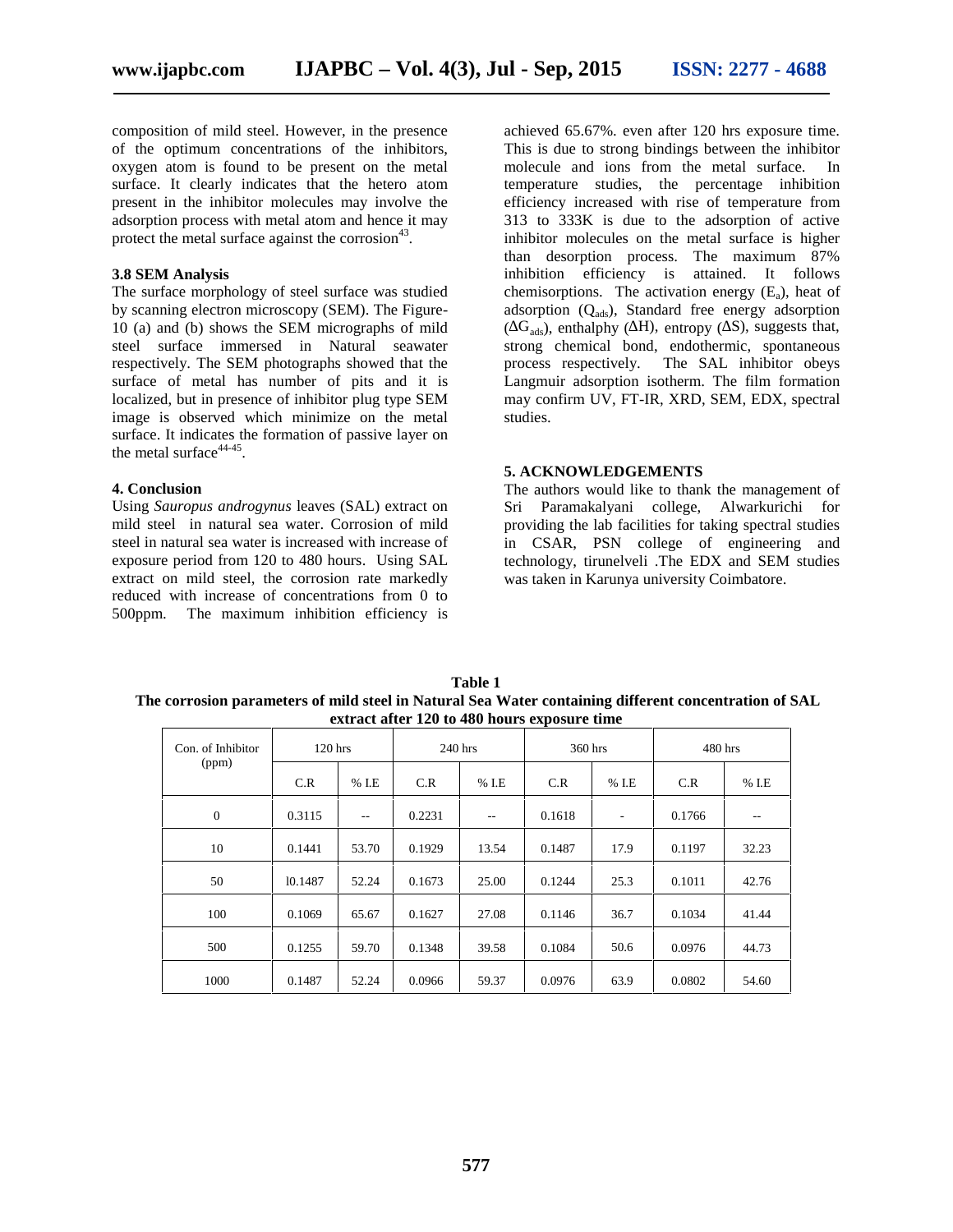composition of mild steel. However, in the presence of the optimum concentrations of the inhibitors, oxygen atom is found to be present on the metal surface. It clearly indicates that the hetero atom present in the inhibitor molecules may involve the adsorption process with metal atom and hence it may protect the metal surface against the corrosion $43$ .

#### **3.8 SEM Analysis**

The surface morphology of steel surface was studied by scanning electron microscopy (SEM). The Figure- 10 (a) and (b) shows the SEM micrographs of mild steel surface immersed in Natural seawater respectively. The SEM photographs showed that the surface of metal has number of pits and it is localized, but in presence of inhibitor plug type SEM image is observed which minimize on the metal surface. It indicates the formation of passive layer on the metal surface $44-45$ .

#### **4. Conclusion**

Using *Sauropus androgynus* leaves (SAL) extract on mild steel in natural sea water. Corrosion of mild steel in natural sea water is increased with increase of exposure period from 120 to 480 hours. Using SAL extract on mild steel, the corrosion rate markedly reduced with increase of concentrations from 0 to 500ppm. The maximum inhibition efficiency is

achieved 65.67%. even after 120 hrs exposure time. This is due to strong bindings between the inhibitor molecule and ions from the metal surface. In temperature studies, the percentage inhibition efficiency increased with rise of temperature from 313 to 333K is due to the adsorption of active inhibitor molecules on the metal surface is higher than desorption process. The maximum 87% inhibition efficiency is attained. It follows chemisorptions. The activation energy  $(E_a)$ , heat of adsorption  $(Q_{ads})$ , Standard free energy adsorption  $(\overrightarrow{G}_{ads})$ , enthalphy ( $\overrightarrow{H}$ ), entropy ( $\overrightarrow{S}$ ), suggests that, strong chemical bond, endothermic, spontaneous process respectively. The SAL inhibitor obeys Langmuir adsorption isotherm. The film formation may confirm UV, FT-IR, XRD, SEM, EDX, spectral studies.

#### **5. ACKNOWLEDGEMENTS**

The authors would like to thank the management of Sri Paramakalyani college, Alwarkurichi for providing the lab facilities for taking spectral studies in CSAR, PSN college of engineering and technology, tirunelveli .The EDX and SEM studies was taken in Karunya university Coimbatore.

| Table 1                                                                                               |  |
|-------------------------------------------------------------------------------------------------------|--|
| The corrosion parameters of mild steel in Natural Sea Water containing different concentration of SAL |  |
| extract after 120 to 480 hours exposure time                                                          |  |

| Con. of Inhibitor | $120$ hrs |         | 240 hrs |         | 360 hrs |         | 480 hrs |       |
|-------------------|-----------|---------|---------|---------|---------|---------|---------|-------|
| (ppm)             | C.R       | $%$ I.E | C.R     | $%$ I.E | C.R     | $%$ I.E | C.R     | % I.E |
| $\theta$          | 0.3115    | $- -$   | 0.2231  | $-$     | 0.1618  | ٠       | 0.1766  | --    |
| 10                | 0.1441    | 53.70   | 0.1929  | 13.54   | 0.1487  | 17.9    | 0.1197  | 32.23 |
| 50                | 10.1487   | 52.24   | 0.1673  | 25.00   | 0.1244  | 25.3    | 0.1011  | 42.76 |
| 100               | 0.1069    | 65.67   | 0.1627  | 27.08   | 0.1146  | 36.7    | 0.1034  | 41.44 |
| 500               | 0.1255    | 59.70   | 0.1348  | 39.58   | 0.1084  | 50.6    | 0.0976  | 44.73 |
| 1000              | 0.1487    | 52.24   | 0.0966  | 59.37   | 0.0976  | 63.9    | 0.0802  | 54.60 |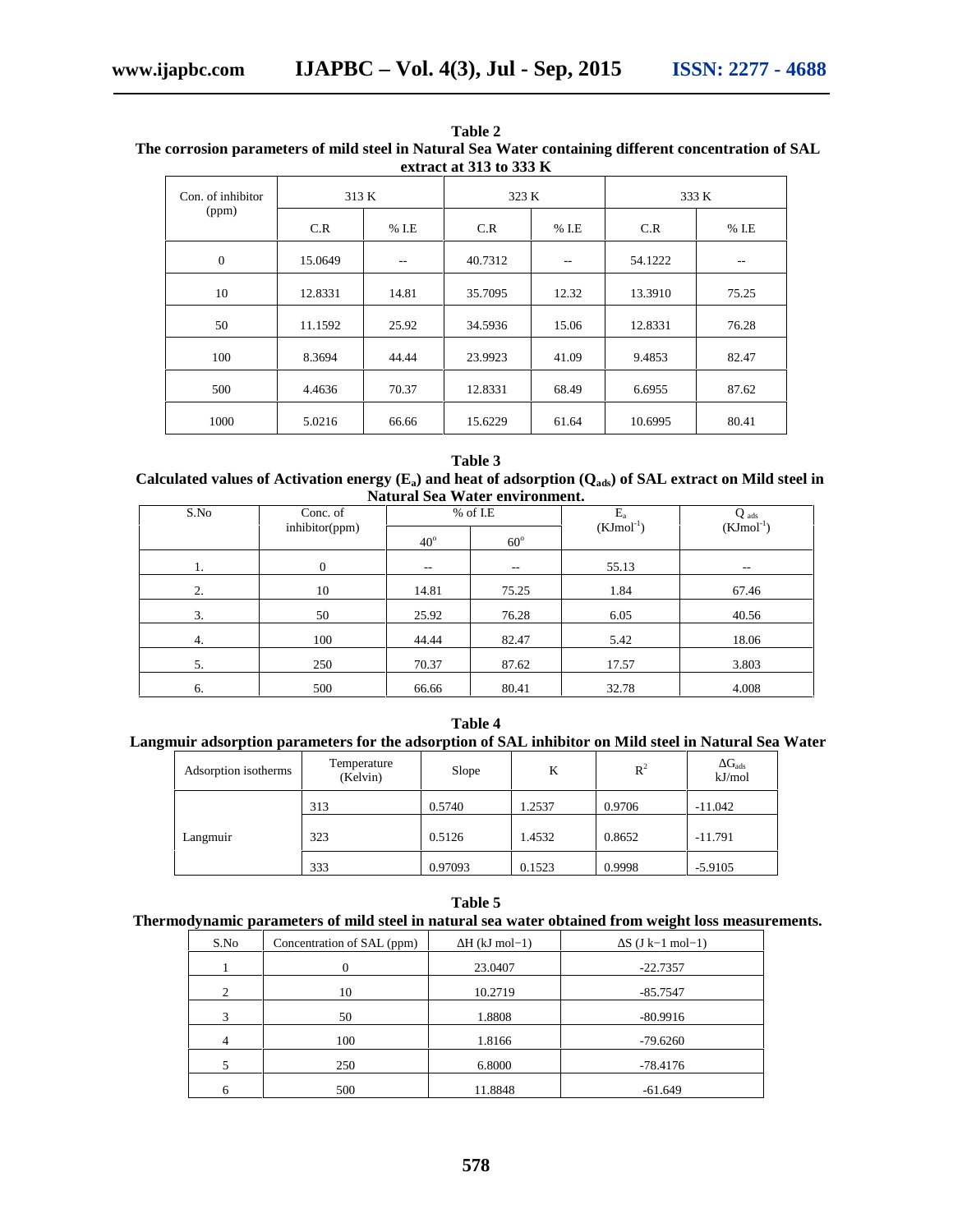| Table 2                                                                                               |  |
|-------------------------------------------------------------------------------------------------------|--|
| The corrosion parameters of mild steel in Natural Sea Water containing different concentration of SAL |  |
| extract at 313 to 333 K                                                                               |  |

| Con. of inhibitor | 313 K   |         | 323 K   |         | 333 K   |         |
|-------------------|---------|---------|---------|---------|---------|---------|
| (ppm)             | C.R     | $%$ I.E | C.R     | $%$ I.E | C.R     | $%$ I.E |
| $\mathbf{0}$      | 15.0649 | $-$     | 40.7312 | $- -$   | 54.1222 | $-$     |
| 10                | 12.8331 | 14.81   | 35.7095 | 12.32   | 13.3910 | 75.25   |
| 50                | 11.1592 | 25.92   | 34.5936 | 15.06   | 12.8331 | 76.28   |
| 100               | 8.3694  | 44.44   | 23.9923 | 41.09   | 9.4853  | 82.47   |
| 500               | 4.4636  | 70.37   | 12.8331 | 68.49   | 6.6955  | 87.62   |
| 1000              | 5.0216  | 66.66   | 15.6229 | 61.64   | 10.6995 | 80.41   |

#### **Table 3 Calculated values of Activation energy (Ea) and heat of adsorption (Qads) of SAL extract on Mild steel in Natural Sea Water environment.**

| S.No | Conc. of       |              | $%$ of I.E | $E_a$          | Q ads          |  |  |
|------|----------------|--------------|------------|----------------|----------------|--|--|
|      | inhibitor(ppm) | $40^{\circ}$ | $60^\circ$ | $(KJmol^{-1})$ | $(KJmol^{-1})$ |  |  |
| 1.   | $\mathbf{0}$   | $- -$        | $- -$      | 55.13          | $- -$          |  |  |
| 2.   | 10             | 14.81        | 75.25      | 1.84           | 67.46          |  |  |
| 3.   | 50             | 25.92        | 76.28      | 6.05           | 40.56          |  |  |
| 4.   | 100            | 44.44        | 82.47      | 5.42           | 18.06          |  |  |
| 5.   | 250            | 70.37        | 87.62      | 17.57          | 3.803          |  |  |
| 6.   | 500            | 66.66        | 80.41      | 32.78          | 4.008          |  |  |

**Table 4 Langmuir adsorption parameters for the adsorption of SAL inhibitor on Mild steel in Natural Sea Water**

| Adsorption isotherms | Temperature<br>(Kelvin) | Slope   | K      | $R^2$  | $G_{ads}$<br>kJ/mol |
|----------------------|-------------------------|---------|--------|--------|---------------------|
|                      | 313                     | 0.5740  | 1.2537 | 0.9706 | $-11.042$           |
| Langmuir             | 323                     | 0.5126  | 1.4532 | 0.8652 | $-11.791$           |
|                      | 333                     | 0.97093 | 0.1523 | 0.9998 | $-5.9105$           |

## **Table 5 Thermodynamic parameters of mild steel in natural sea water obtained from weight loss measurements.**

| S.No | Concentration of SAL (ppm) | $H$ (kJ mol-1) | $S$ (J k–1 mol–1) |
|------|----------------------------|----------------|-------------------|
|      | 0                          | 23.0407        | $-22.7357$        |
| 2    | 10                         | 10.2719        | $-85.7547$        |
| 3    | 50                         | 1.8808         | $-80.9916$        |
| 4    | 100                        | 1.8166         | $-79.6260$        |
|      | 250                        | 6.8000         | $-78.4176$        |
|      |                            |                |                   |
| h    | 500                        | 11.8848        | $-61.649$         |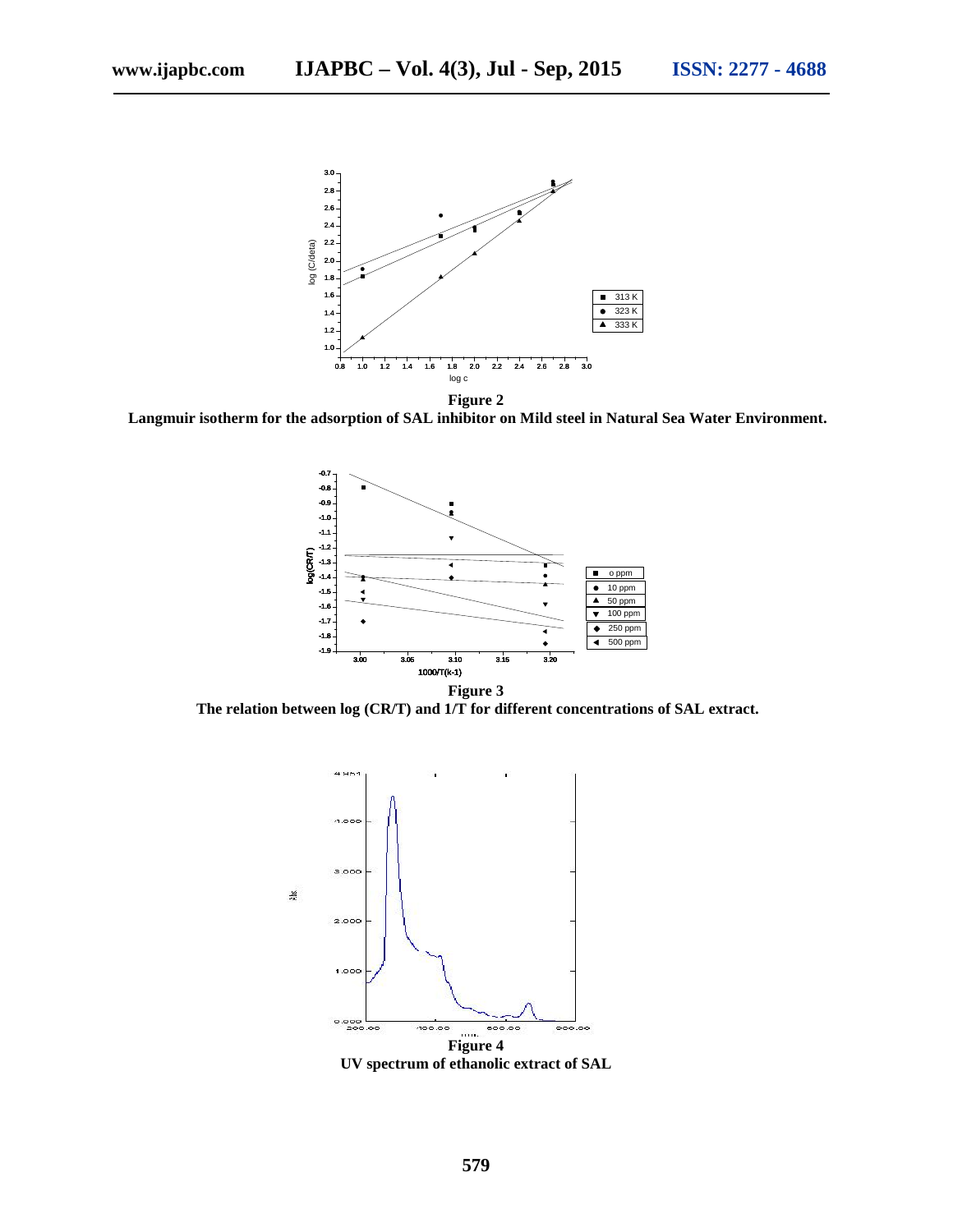

**Langmuir isotherm for the adsorption of SAL inhibitor on Mild steel in Natural Sea Water Environment.**



**The relation between log (CR/T) and 1/T for different concentrations of SAL extract.**

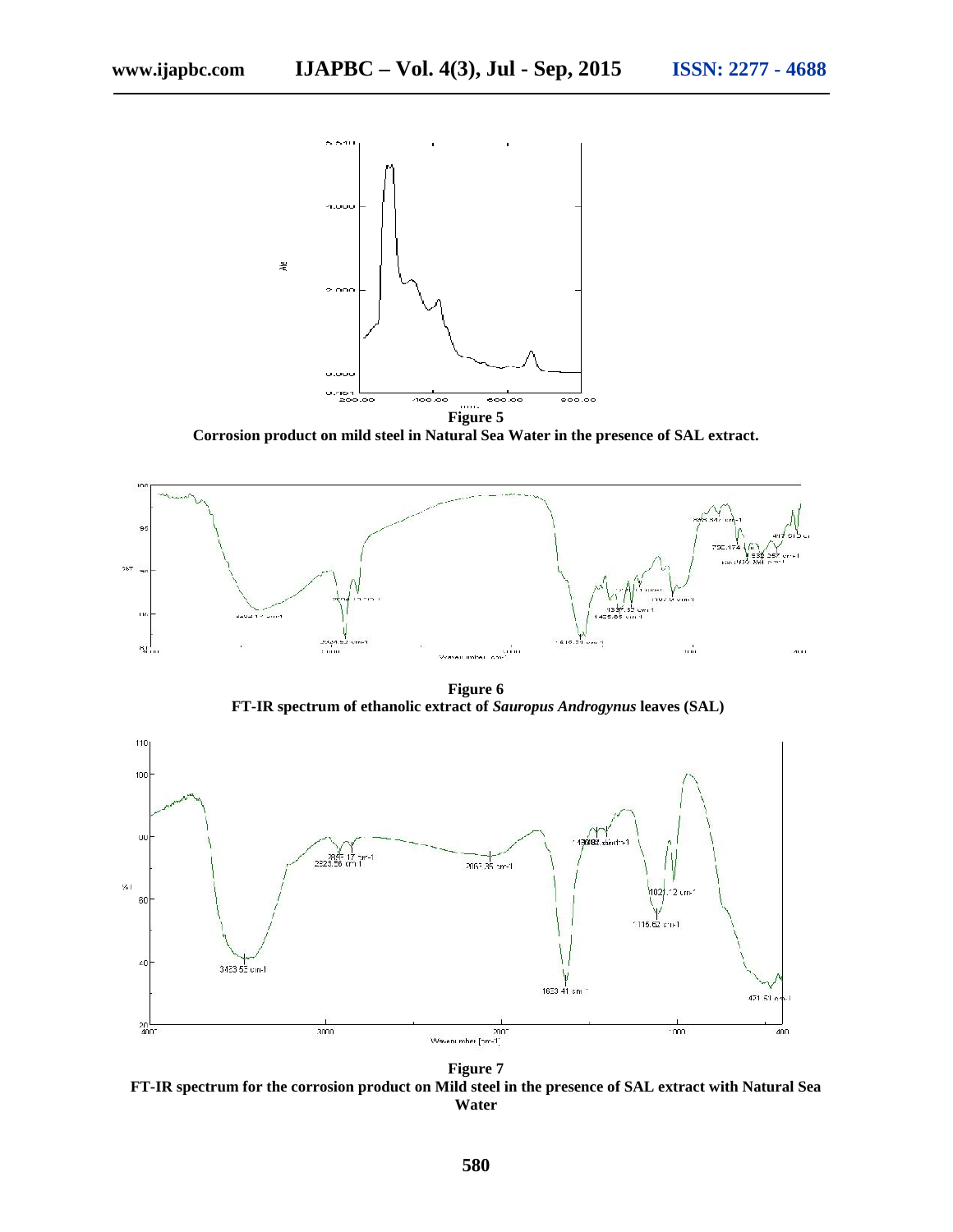

**Corrosion product on mild steel in Natural Sea Water in the presence of SAL extract.**



**Figure 6 FT-IR spectrum of ethanolic extract of** *Sauropus Androgynus* **leaves (SAL)**



**FT-IR spectrum for the corrosion product on Mild steel in the presence of SAL extract with Natural Sea Water**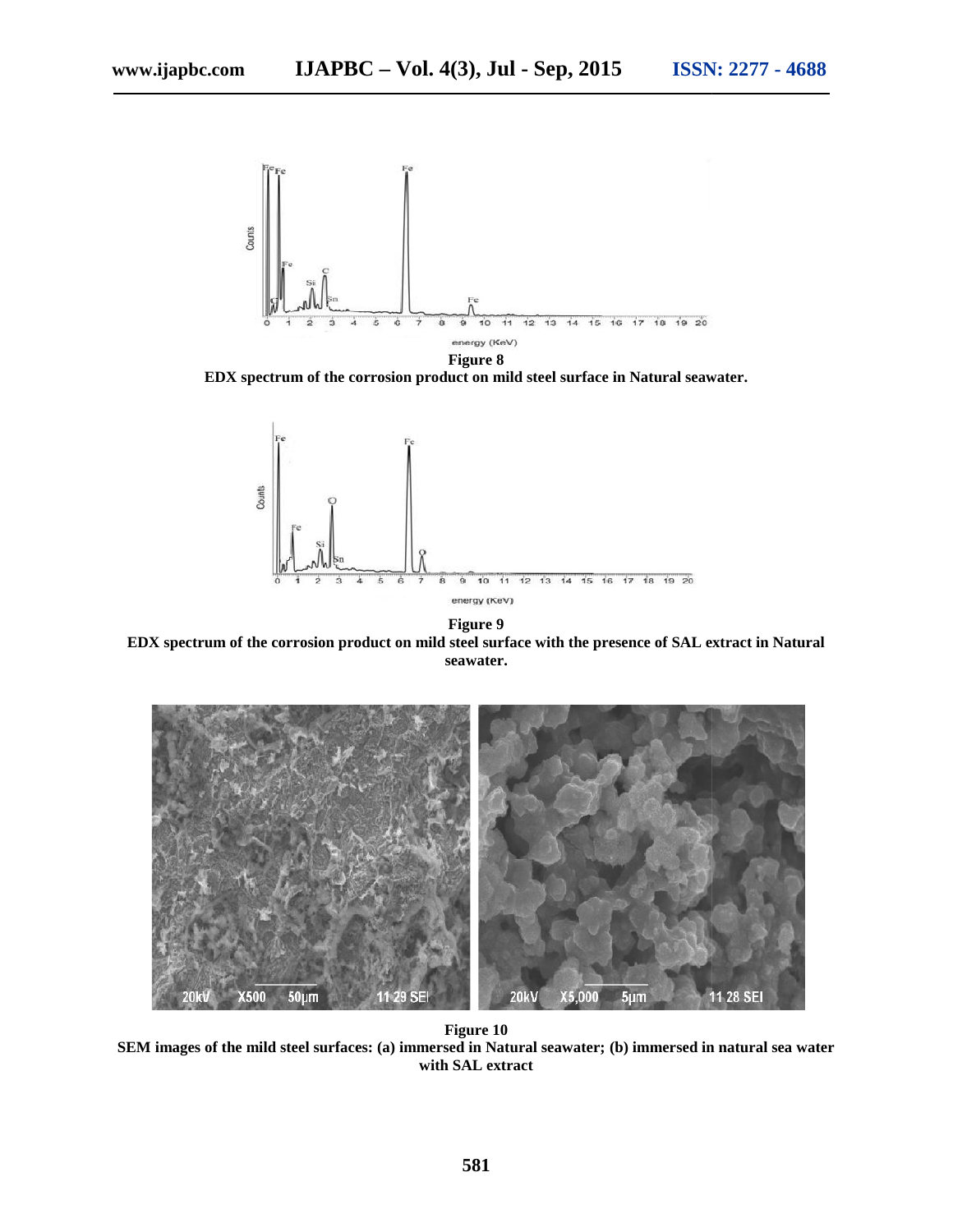

**Figure 8 EDX spectrum of the corrosion product on mild steel surface in Natural seawater.**



**Figure 9 EDX spectrum of the corrosion product on mild steel surface with the presence of SAL extract in Natural seawater.**



**Figure 10 SEM images of the mild steel surfaces: (a) immersed in Natural seawater; (b) immersed in natural sea water 10SEM images of steel (a) immersed with SAL extract**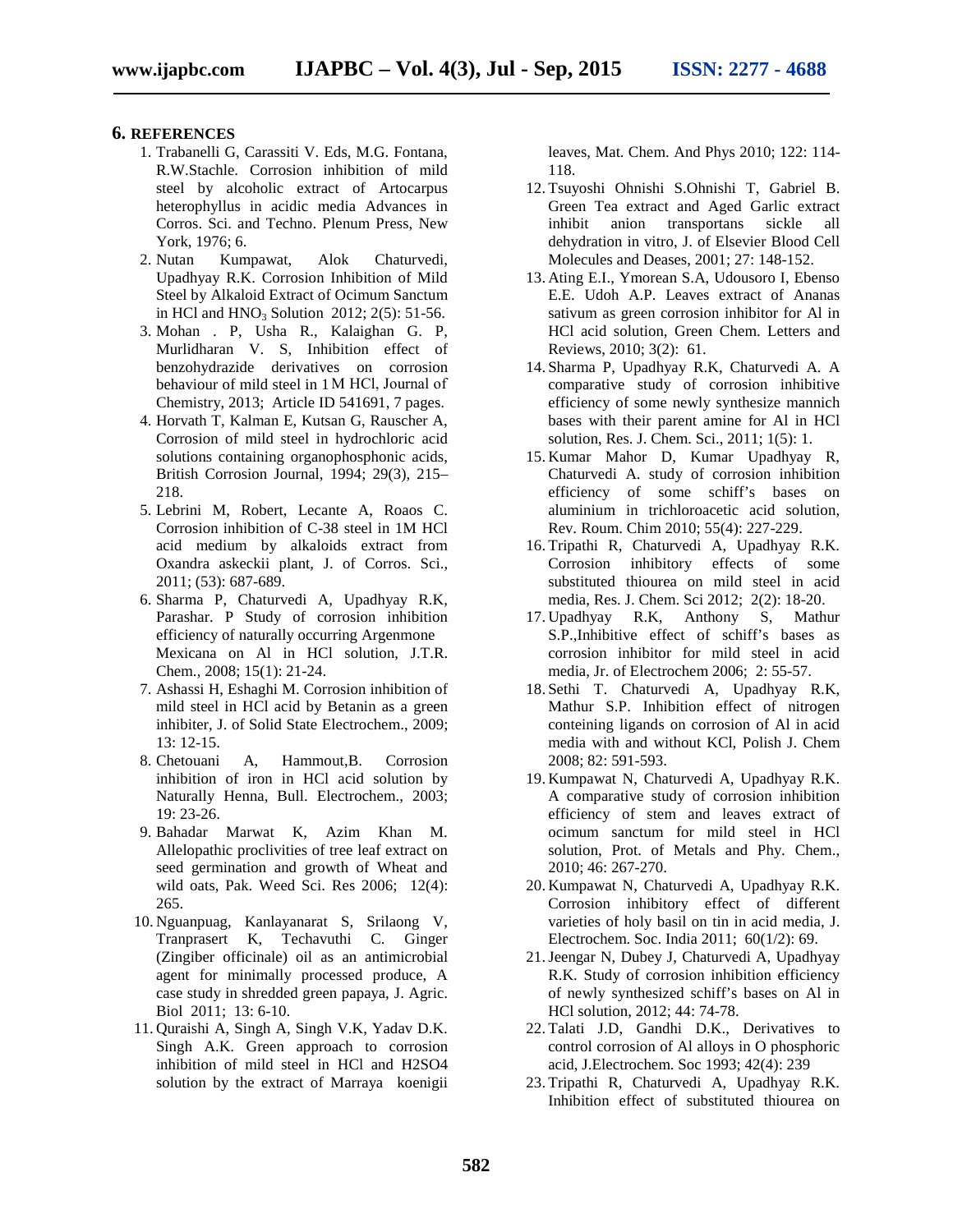### **6. REFERENCES**

- 1. Trabanelli G, Carassiti V. Eds, M.G. Fontana, R.W.Stachle. Corrosion inhibition of mild steel by alcoholic extract of Artocarpus heterophyllus in acidic media Advances in Corros. Sci. and Techno. Plenum Press, New York, 1976; 6.
- 2. Nutan Kumpawat, Alok Chaturvedi, Upadhyay R.K. Corrosion Inhibition of Mild Steel by Alkaloid Extract of Ocimum Sanctum in HCl and  $HNO<sub>3</sub>$  Solution 2012; 2(5): 51-56.
- 3. Mohan . P, Usha R., Kalaighan G. P, Murlidharan V. S, Inhibition effect of benzohydrazide derivatives on corrosion behaviour of mild steel in 1 M HCl, Journal of Chemistry, 2013; Article ID 541691, 7 pages.
- 4. Horvath T, Kalman E, Kutsan G, Rauscher A, Corrosion of mild steel in hydrochloric acid solutions containing organophosphonic acids, British Corrosion Journal, 1994; 29(3), 215– 218.
- 5. Lebrini M, Robert, Lecante A, Roaos C. Corrosion inhibition of C-38 steel in 1M HCl acid medium by alkaloids extract from Oxandra askeckii plant, J. of Corros. Sci., 2011; (53): 687-689.
- 6. Sharma P, Chaturvedi A, Upadhyay R.K, Parashar. P Study of corrosion inhibition efficiency of naturally occurring Argenmone Mexicana on Al in HCl solution, J.T.R. Chem., 2008; 15(1): 21-24.
- 7. Ashassi H, Eshaghi M. Corrosion inhibition of mild steel in HCl acid by Betanin as a green inhibiter, J. of Solid State Electrochem., 2009; 13: 12-15.
- 8. Chetouani A, Hammout,B. Corrosion inhibition of iron in HCl acid solution by Naturally Henna, Bull. Electrochem., 2003; 19: 23-26.
- 9. Bahadar Marwat K, Azim Khan M. Allelopathic proclivities of tree leaf extract on seed germination and growth of Wheat and wild oats, Pak. Weed Sci. Res 2006; 12(4): 265.
- 10. Nguanpuag, Kanlayanarat S, Srilaong V, Tranprasert K, Techavuthi C. Ginger (Zingiber officinale) oil as an antimicrobial agent for minimally processed produce, A case study in shredded green papaya, J. Agric. Biol 2011; 13: 6-10.
- 11. Quraishi A, Singh A, Singh V.K, Yadav D.K. Singh A.K. Green approach to corrosion inhibition of mild steel in HCl and H2SO4 solution by the extract of Marraya koenigii

leaves, Mat. Chem. And Phys 2010; 122: 114- 118.

- 12. Tsuyoshi Ohnishi S.Ohnishi T, Gabriel B. Green Tea extract and Aged Garlic extract inhibit anion transportans sickle all dehydration in vitro, J. of Elsevier Blood Cell Molecules and Deases, 2001; 27: 148-152.
- 13. Ating E.I., Ymorean S.A, Udousoro I, Ebenso E.E. Udoh A.P. Leaves extract of Ananas sativum as green corrosion inhibitor for Al in HCl acid solution, Green Chem. Letters and Reviews, 2010; 3(2): 61.
- 14. Sharma P, Upadhyay R.K, Chaturvedi A. A comparative study of corrosion inhibitive efficiency of some newly synthesize mannich bases with their parent amine for Al in HCl solution, Res. J. Chem. Sci., 2011; 1(5): 1.
- 15. Kumar Mahor D, Kumar Upadhyay R, Chaturvedi A. study of corrosion inhibition efficiency of some schiff's bases on aluminium in trichloroacetic acid solution, Rev. Roum. Chim 2010; 55(4): 227-229.
- 16. Tripathi R, Chaturvedi A, Upadhyay R.K. Corrosion inhibitory effects of some substituted thiourea on mild steel in acid media, Res. J. Chem. Sci 2012; 2(2): 18-20.
- 17. Upadhyay R.K, Anthony S, Mathur S.P.,Inhibitive effect of schiff's bases as corrosion inhibitor for mild steel in acid media, Jr. of Electrochem 2006; 2: 55-57.
- 18. Sethi T. Chaturvedi A, Upadhyay R.K, Mathur S.P. Inhibition effect of nitrogen conteining ligands on corrosion of Al in acid media with and without KCl, Polish J. Chem 2008; 82: 591-593.
- 19. Kumpawat N, Chaturvedi A, Upadhyay R.K. A comparative study of corrosion inhibition efficiency of stem and leaves extract of ocimum sanctum for mild steel in HCl solution, Prot. of Metals and Phy. Chem., 2010; 46: 267-270.
- 20. Kumpawat N, Chaturvedi A, Upadhyay R.K. Corrosion inhibitory effect of different varieties of holy basil on tin in acid media, J. Electrochem. Soc. India 2011; 60(1/2): 69.
- 21.Jeengar N, Dubey J, Chaturvedi A, Upadhyay R.K. Study of corrosion inhibition efficiency of newly synthesized schiff's bases on Al in HCl solution, 2012; 44: 74-78.
- 22. Talati J.D, Gandhi D.K., Derivatives to control corrosion of Al alloys in O phosphoric acid, J.Electrochem. Soc 1993; 42(4): 239
- 23. Tripathi R, Chaturvedi A, Upadhyay R.K. Inhibition effect of substituted thiourea on